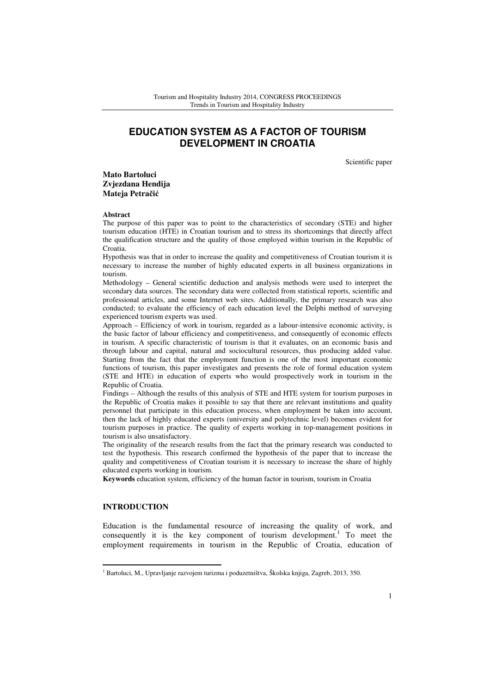# **EDUCATION SYSTEM AS A FACTOR OF TOURISM DEVELOPMENT IN CROATIA**

Scientific paper

**Mato Bartoluci Zvjezdana Hendija Mateja Petra**č**i**ć

#### **Abstract**

The purpose of this paper was to point to the characteristics of secondary (STE) and higher tourism education (HTE) in Croatian tourism and to stress its shortcomings that directly affect the qualification structure and the quality of those employed within tourism in the Republic of Croatia.

Hypothesis was that in order to increase the quality and competitiveness of Croatian tourism it is necessary to increase the number of highly educated experts in all business organizations in tourism.

Methodology – General scientific deduction and analysis methods were used to interpret the secondary data sources. The secondary data were collected from statistical reports, scientific and professional articles, and some Internet web sites. Additionally, the primary research was also conducted; to evaluate the efficiency of each education level the Delphi method of surveying experienced tourism experts was used.

Approach – Efficiency of work in tourism, regarded as a labour-intensive economic activity, is the basic factor of labour efficiency and competitiveness, and consequently of economic effects in tourism. A specific characteristic of tourism is that it evaluates, on an economic basis and through labour and capital, natural and sociocultural resources, thus producing added value. Starting from the fact that the employment function is one of the most important economic functions of tourism, this paper investigates and presents the role of formal education system (STE and HTE) in education of experts who would prospectively work in tourism in the Republic of Croatia.

Findings – Although the results of this analysis of STE and HTE system for tourism purposes in the Republic of Croatia makes it possible to say that there are relevant institutions and quality personnel that participate in this education process, when employment be taken into account, then the lack of highly educated experts (university and polytechnic level) becomes evident for tourism purposes in practice. The quality of experts working in top-management positions in tourism is also unsatisfactory.

The originality of the research results from the fact that the primary research was conducted to test the hypothesis. This research confirmed the hypothesis of the paper that to increase the quality and competitiveness of Croatian tourism it is necessary to increase the share of highly educated experts working in tourism.

**Keywords** education system, efficiency of the human factor in tourism, tourism in Croatia

## **INTRODUCTION**

 $\overline{a}$ 

Education is the fundamental resource of increasing the quality of work, and consequently it is the key component of tourism development.<sup>1</sup> To meet the employment requirements in tourism in the Republic of Croatia, education of

<sup>&</sup>lt;sup>1</sup> Bartoluci, M., Upravljanje razvojem turizma i poduzetništva, Školska knjiga, Zagreb, 2013, 350.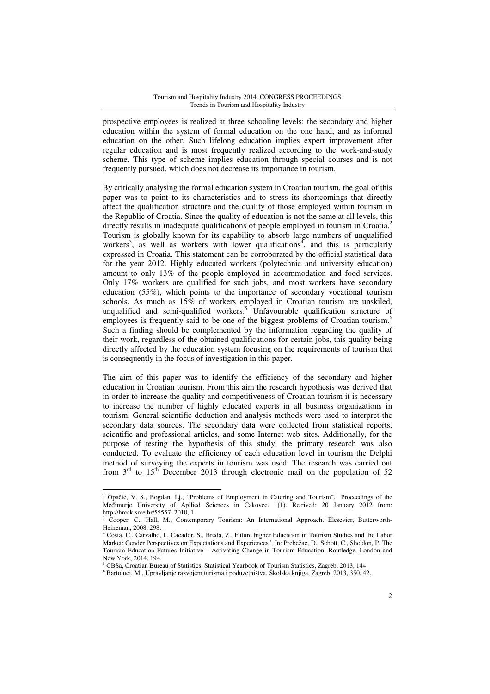prospective employees is realized at three schooling levels: the secondary and higher education within the system of formal education on the one hand, and as informal education on the other. Such lifelong education implies expert improvement after regular education and is most frequently realized according to the work-and-study scheme. This type of scheme implies education through special courses and is not frequently pursued, which does not decrease its importance in tourism.

By critically analysing the formal education system in Croatian tourism, the goal of this paper was to point to its characteristics and to stress its shortcomings that directly affect the qualification structure and the quality of those employed within tourism in the Republic of Croatia. Since the quality of education is not the same at all levels, this directly results in inadequate qualifications of people employed in tourism in Croatia. Tourism is globally known for its capability to absorb large numbers of unqualified workers<sup>3</sup>, as well as workers with lower qualifications<sup>4</sup>, and this is particularly expressed in Croatia. This statement can be corroborated by the official statistical data for the year 2012. Highly educated workers (polytechnic and university education) amount to only 13% of the people employed in accommodation and food services. Only 17% workers are qualified for such jobs, and most workers have secondary education (55%), which points to the importance of secondary vocational tourism schools. As much as 15% of workers employed in Croatian tourism are unskiled, unqualified and semi-qualified workers.<sup>5</sup> Unfavourable qualification structure of employees is frequently said to be one of the biggest problems of Croatian tourism.<sup>6</sup> Such a finding should be complemented by the information regarding the quality of their work, regardless of the obtained qualifications for certain jobs, this quality being directly affected by the education system focusing on the requirements of tourism that is consequently in the focus of investigation in this paper.

The aim of this paper was to identify the efficiency of the secondary and higher education in Croatian tourism. From this aim the research hypothesis was derived that in order to increase the quality and competitiveness of Croatian tourism it is necessary to increase the number of highly educated experts in all business organizations in tourism. General scientific deduction and analysis methods were used to interpret the secondary data sources. The secondary data were collected from statistical reports, scientific and professional articles, and some Internet web sites. Additionally, for the purpose of testing the hypothesis of this study, the primary research was also conducted. To evaluate the efficiency of each education level in tourism the Delphi method of surveying the experts in tourism was used. The research was carried out from  $3<sup>rd</sup>$  to  $15<sup>th</sup>$  December 2013 through electronic mail on the population of 52

l

<sup>&</sup>lt;sup>2</sup> Opačić, V. S., Bogdan, Lj., "Problems of Employment in Catering and Tourism". Proceedings of the Međimurje University of Apllied Sciences in Čakovec. 1(1). Retrived: 20 January 2012 from: http://hrcak.srce.hr/55557. 2010, 1.

<sup>&</sup>lt;sup>3</sup> Cooper, C., Hall, M., Contemporary Tourism: An International Approach. Elesevier, Butterworth-Heineman, 2008, 298.

<sup>4</sup> Costa, C., Carvalho, I., Cacador, S., Breda, Z., Future higher Education in Tourism Studies and the Labor Market: Gender Perspectives on Expectations and Experiences", In: Prebežac, D., Schott, C., Sheldon, P. The Tourism Education Futures Initiative – Activating Change in Tourism Education. Routledge, London and New York, 2014, 194.

<sup>5</sup> CBSa, Croatian Bureau of Statistics, Statistical Yearbook of Tourism Statistics, Zagreb, 2013, 144.

<sup>6</sup> Bartoluci, M., Upravljanje razvojem turizma i poduzetništva, Školska knjiga, Zagreb, 2013, 350, 42.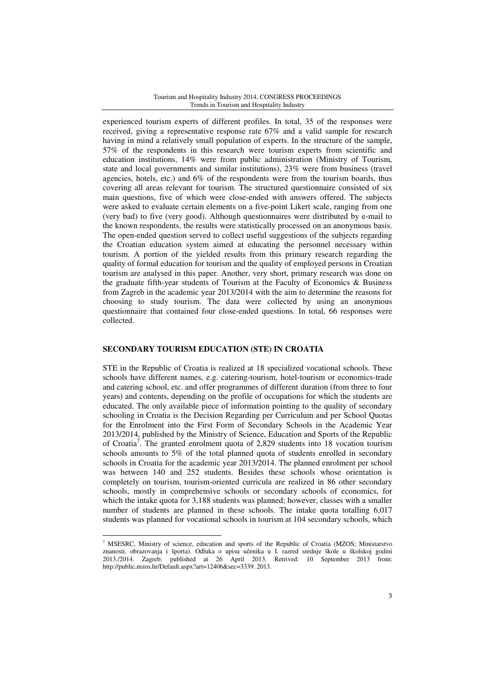experienced tourism experts of different profiles. In total, 35 of the responses were received, giving a representative response rate 67% and a valid sample for research having in mind a relatively small population of experts. In the structure of the sample, 57% of the respondents in this research were tourism experts from scientific and education institutions, 14% were from public administration (Ministry of Tourism, state and local governments and similar institutions), 23% were from business (travel agencies, hotels, etc.) and 6% of the respondents were from the tourism boards, thus covering all areas relevant for tourism. The structured questionnaire consisted of six main questions, five of which were close-ended with answers offered. The subjects were asked to evaluate certain elements on a five-point Likert scale, ranging from one (very bad) to five (very good). Although questionnaires were distributed by e-mail to the known respondents, the results were statistically processed on an anonymous basis. The open-ended question served to collect useful suggestions of the subjects regarding the Croatian education system aimed at educating the personnel necessary within tourism. A portion of the yielded results from this primary research regarding the quality of formal education for tourism and the quality of employed persons in Croatian tourism are analysed in this paper. Another, very short, primary research was done on the graduate fifth-year students of Tourism at the Faculty of Economics  $\&$  Business from Zagreb in the academic year 2013/2014 with the aim to determine the reasons for choosing to study tourism. The data were collected by using an anonymous questionnaire that contained four close-ended questions. In total, 66 responses were collected.

# **SECONDARY TOURISM EDUCATION (STE) IN CROATIA**

 $\overline{a}$ 

STE in the Republic of Croatia is realized at 18 specialized vocational schools. These schools have different names, e.g. catering-tourism, hotel-tourism or economics-trade and catering school, etc. and offer programmes of different duration (from three to four years) and contents, depending on the profile of occupations for which the students are educated. The only available piece of information pointing to the quality of secondary schooling in Croatia is the Decision Regarding per Curriculum and per School Quotas for the Enrolment into the First Form of Secondary Schools in the Academic Year 2013/2014, published by the Ministry of Science, Education and Sports of the Republic of Croatia<sup>7</sup> . The granted enrolment quota of 2,829 students into 18 vocation tourism schools amounts to 5% of the total planned quota of students enrolled in secondary schools in Croatia for the academic year 2013/2014. The planned enrolment per school was between 140 and 252 students. Besides these schools whose orientation is completely on tourism, tourism-oriented curricula are realized in 86 other secondary schools, mostly in comprehensive schools or secondary schools of economics, for which the intake quota for 3,188 students was planned; however, classes with a smaller number of students are planned in these schools. The intake quota totalling 6,017 students was planned for vocational schools in tourism at 104 secondary schools, which

<sup>7</sup> MSESRC, Ministry of science, education and sports of the Republic of Croatia (MZOS; Ministarstvo znanosti, obrazovanja i športa). Odluka o upisu učenika u I. razred srednje škole u školskoj godini 2013./2014. Zagreb: published at 26 April 2013. Retrived: 10 September 2013 from: http://public.mzos.hr/Default.aspx?art=12406&sec=3339. 2013.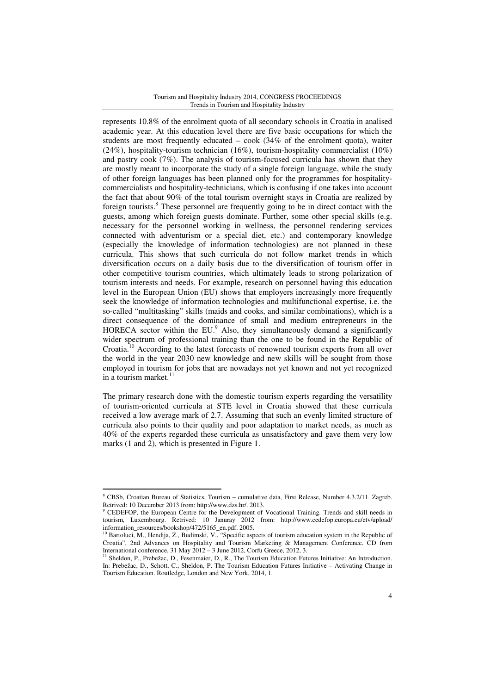represents 10.8% of the enrolment quota of all secondary schools in Croatia in analised academic year. At this education level there are five basic occupations for which the students are most frequently educated  $-$  cook (34% of the enrolment quota), waiter  $(24\%)$ , hospitality-tourism technician  $(16\%)$ , tourism-hospitality commercialist  $(10\%)$ and pastry cook (7%). The analysis of tourism-focused curricula has shown that they are mostly meant to incorporate the study of a single foreign language, while the study of other foreign languages has been planned only for the programmes for hospitalitycommercialists and hospitality-technicians, which is confusing if one takes into account the fact that about 90% of the total tourism overnight stays in Croatia are realized by foreign tourists.<sup>8</sup> These personnel are frequently going to be in direct contact with the guests, among which foreign guests dominate. Further, some other special skills (e.g. necessary for the personnel working in wellness, the personnel rendering services connected with adventurism or a special diet, etc.) and contemporary knowledge (especially the knowledge of information technologies) are not planned in these curricula. This shows that such curricula do not follow market trends in which diversification occurs on a daily basis due to the diversification of tourism offer in other competitive tourism countries, which ultimately leads to strong polarization of tourism interests and needs. For example, research on personnel having this education level in the European Union (EU) shows that employers increasingly more frequently seek the knowledge of information technologies and multifunctional expertise, i.e. the so-called "multitasking" skills (maids and cooks, and similar combinations), which is a direct consequence of the dominance of small and medium entrepreneurs in the HORECA sector within the EU.<sup>9</sup> Also, they simultaneously demand a significantly wider spectrum of professional training than the one to be found in the Republic of Croatia.<sup>10</sup> According to the latest forecasts of renowned tourism experts from all over the world in the year 2030 new knowledge and new skills will be sought from those employed in tourism for jobs that are nowadays not yet known and not yet recognized in a tourism market. $^{11}$ 

The primary research done with the domestic tourism experts regarding the versatility of tourism-oriented curricula at STE level in Croatia showed that these curricula received a low average mark of 2.7. Assuming that such an evenly limited structure of curricula also points to their quality and poor adaptation to market needs, as much as 40% of the experts regarded these curricula as unsatisfactory and gave them very low marks (1 and 2), which is presented in Figure 1.

l

<sup>8</sup> CBSb, Croatian Bureau of Statistics, Tourism – cumulative data, First Release, Number 4.3.2/11. Zagreb. Retrived: 10 December 2013 from: http://www.dzs.hr/. 2013.

<sup>9</sup> CEDEFOP, the European Centre for the Development of Vocational Training. Trends and skill needs in tourism, Luxembourg. Retrived: 10 Januray 2012 from: http://www.cedefop.europa.eu/etv/upload/ information\_resources/bookshop/472/5165\_en.pdf. 2005.

Bartoluci, M., Hendija, Z., Budimski, V., "Specific aspects of tourism education system in the Republic of Croatia", 2nd Advances on Hospitality and Tourism Marketing & Management Conference. CD from International conference, 31 May 2012 – 3 June 2012, Corfu Greece, 2012, 3.

<sup>&</sup>lt;sup>11</sup> Sheldon, P., Prebežac, D., Fesenmaier, D., R., The Tourism Education Futures Initiative: An Introduction. In: Prebežac, D., Schott, C., Sheldon, P. The Tourism Education Futures Initiative – Activating Change in Tourism Education. Routledge, London and New York, 2014, 1.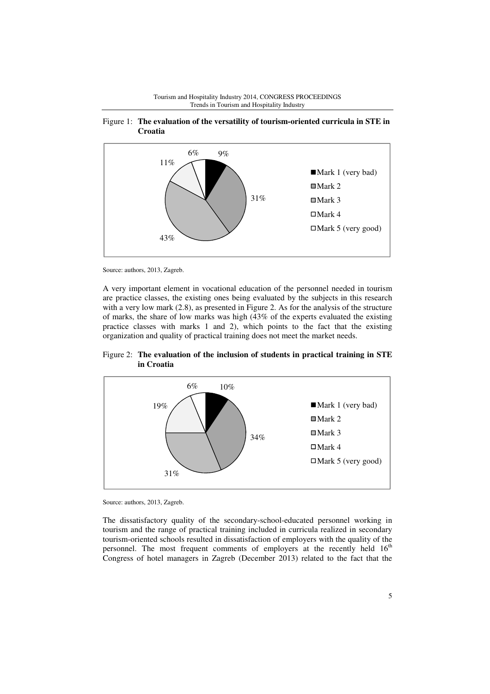





Source: authors, 2013, Zagreb.

A very important element in vocational education of the personnel needed in tourism are practice classes, the existing ones being evaluated by the subjects in this research with a very low mark  $(2.8)$ , as presented in Figure 2. As for the analysis of the structure of marks, the share of low marks was high (43% of the experts evaluated the existing practice classes with marks 1 and 2), which points to the fact that the existing organization and quality of practical training does not meet the market needs.





Source: authors, 2013, Zagreb.

The dissatisfactory quality of the secondary-school-educated personnel working in tourism and the range of practical training included in curricula realized in secondary tourism-oriented schools resulted in dissatisfaction of employers with the quality of the personnel. The most frequent comments of employers at the recently held  $16<sup>th</sup>$ Congress of hotel managers in Zagreb (December 2013) related to the fact that the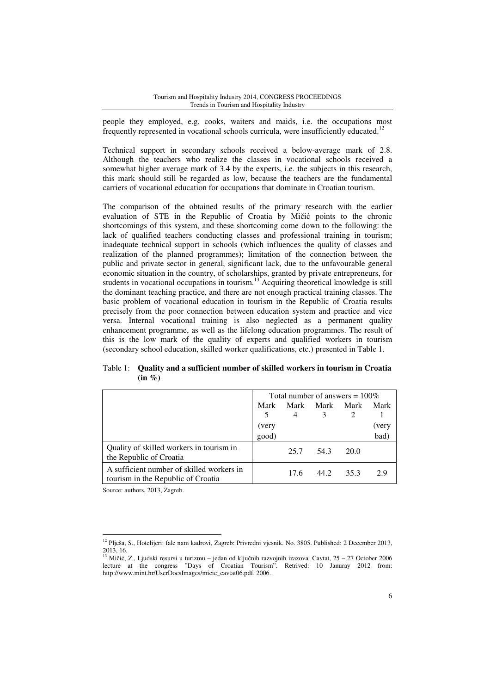people they employed, e.g. cooks, waiters and maids, i.e. the occupations most frequently represented in vocational schools curricula, were insufficiently educated.<sup>12</sup>

Technical support in secondary schools received a below-average mark of 2.8. Although the teachers who realize the classes in vocational schools received a somewhat higher average mark of 3.4 by the experts, i.e. the subjects in this research, this mark should still be regarded as low, because the teachers are the fundamental carriers of vocational education for occupations that dominate in Croatian tourism.

The comparison of the obtained results of the primary research with the earlier evaluation of STE in the Republic of Croatia by Mičić points to the chronic shortcomings of this system, and these shortcoming come down to the following: the lack of qualified teachers conducting classes and professional training in tourism; inadequate technical support in schools (which influences the quality of classes and realization of the planned programmes); limitation of the connection between the public and private sector in general, significant lack, due to the unfavourable general economic situation in the country, of scholarships, granted by private entrepreneurs, for students in vocational occupations in tourism.<sup>13</sup> Acquiring theoretical knowledge is still the dominant teaching practice, and there are not enough practical training classes. The basic problem of vocational education in tourism in the Republic of Croatia results precisely from the poor connection between education system and practice and vice versa. Internal vocational training is also neglected as a permanent quality enhancement programme, as well as the lifelong education programmes. The result of this is the low mark of the quality of experts and qualified workers in tourism (secondary school education, skilled worker qualifications, etc.) presented in Table 1.

Total number of answers  $= 100\%$ Mark 5 Mark 4 Mark 3 Mark  $\mathfrak{D}$ Mark 1 (very (very good) bad) Quality of skilled workers in tourism in the Republic of Croatia 25.7 54.3 20.0 A sufficient number of skilled workers in tourism in the Republic of Croatia 17.6 44.2 35.3 2.9

Table 1: **Quality and a sufficient number of skilled workers in tourism in Croatia (in %)** 

Source: authors, 2013, Zagreb.

<sup>&</sup>lt;sup>12</sup> Plješa, S., Hotelijeri: fale nam kadrovi, Zagreb: Privredni vjesnik. No. 3805. Published: 2 December 2013, 2013, 16.

<sup>&</sup>lt;sup>13</sup> Mičić, Z., Ljudski resursi u turizmu – jedan od ključnih razvojnih izazova. Cavtat, 25 – 27 October 2006 lecture at the congress "Days of Croatian Tourism". Retrived: 10 Januray 2012 from: http://www.mint.hr/UserDocsImages/micic\_cavtat06.pdf. 2006.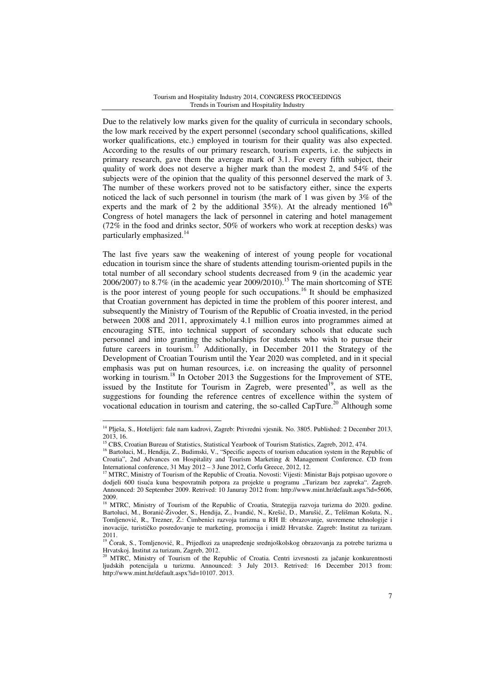Due to the relatively low marks given for the quality of curricula in secondary schools, the low mark received by the expert personnel (secondary school qualifications, skilled worker qualifications, etc.) employed in tourism for their quality was also expected. According to the results of our primary research, tourism experts, i.e. the subjects in primary research, gave them the average mark of 3.1. For every fifth subject, their quality of work does not deserve a higher mark than the modest 2, and 54% of the subjects were of the opinion that the quality of this personnel deserved the mark of 3. The number of these workers proved not to be satisfactory either, since the experts noticed the lack of such personnel in tourism (the mark of 1 was given by 3% of the experts and the mark of 2 by the additional  $35\%$ ). At the already mentioned  $16<sup>th</sup>$ Congress of hotel managers the lack of personnel in catering and hotel management  $(72\%$  in the food and drinks sector, 50% of workers who work at reception desks) was particularly emphasized.<sup>14</sup>

The last five years saw the weakening of interest of young people for vocational education in tourism since the share of students attending tourism-oriented pupils in the total number of all secondary school students decreased from 9 (in the academic year 2006/2007) to 8.7% (in the academic year 2009/2010).<sup>15</sup> The main shortcoming of STE is the poor interest of young people for such occupations.<sup>16</sup> It should be emphasized that Croatian government has depicted in time the problem of this poorer interest, and subsequently the Ministry of Tourism of the Republic of Croatia invested, in the period between 2008 and 2011, approximately 4.1 million euros into programmes aimed at encouraging STE, into technical support of secondary schools that educate such personnel and into granting the scholarships for students who wish to pursue their future careers in tourism.<sup>17</sup> Additionally, in December 2011 the Strategy of the Development of Croatian Tourism until the Year 2020 was completed, and in it special emphasis was put on human resources, i.e. on increasing the quality of personnel working in tourism.<sup>18</sup> In October 2013 the Suggestions for the Improvement of STE, issued by the Institute for Tourism in Zagreb, were presented $19$ , as well as the suggestions for founding the reference centres of excellence within the system of vocational education in tourism and catering, the so-called  $CapTure.^{20}$  Although some

l

<sup>14</sup> Plješa, S., Hotelijeri: fale nam kadrovi, Zagreb: Privredni vjesnik. No. 3805. Published: 2 December 2013, 2013, 16.

<sup>&</sup>lt;sup>15</sup> CBS, Croatian Bureau of Statistics, Statistical Yearbook of Tourism Statistics, Zagreb, 2012, 474.

<sup>&</sup>lt;sup>16</sup> Bartoluci, M., Hendija, Z., Budimski, V., "Specific aspects of tourism education system in the Republic of Croatia", 2nd Advances on Hospitality and Tourism Marketing & Management Conference. CD from International conference, 31 May 2012 – 3 June 2012, Corfu Greece, 2012, 12.

 $17$  MTRC, Ministry of Tourism of the Republic of Croatia. Novosti: Vijesti: Ministar Bajs potpisao ugovore o dodjeli 600 tisuća kuna bespovratnih potpora za projekte u programu "Turizam bez zapreka". Zagreb. Announced: 20 September 2009. Retrived: 10 Januray 2012 from: http://www.mint.hr/default.aspx?id=5606, 2009.

<sup>&</sup>lt;sup>18</sup> MTRC, Ministry of Tourism of the Republic of Croatia, Strategija razvoja turizma do 2020. godine. Bartoluci, M., Boranić-Živoder, S., Hendija, Z., Ivandić, N., Krešić, D., Marušić, Z., Telišman Košuta, N., Tomljenović, R., Trezner, Ž.: Čimbenici razvoja turizma u RH II: obrazovanje, suvremene tehnologije i inovacije, turističko posredovanje te marketing, promocija i imidž Hrvatske. Zagreb: Institut za turizam. 2011.

<sup>19</sup> Čorak, S., Tomljenović, R., Prijedlozi za unapređenje srednjoškolskog obrazovanja za potrebe turizma u Hrvatskoj. Institut za turizam, Zagreb, 2012.

<sup>&</sup>lt;sup>20</sup> MTRC, Ministry of Tourism of the Republic of Croatia. Centri izvrsnosti za jačanje konkurentnosti ljudskih potencijala u turizmu. Announced: 3 July 2013. Retrived: 16 December 2013 from: http://www.mint.hr/default.aspx?id=10107. 2013.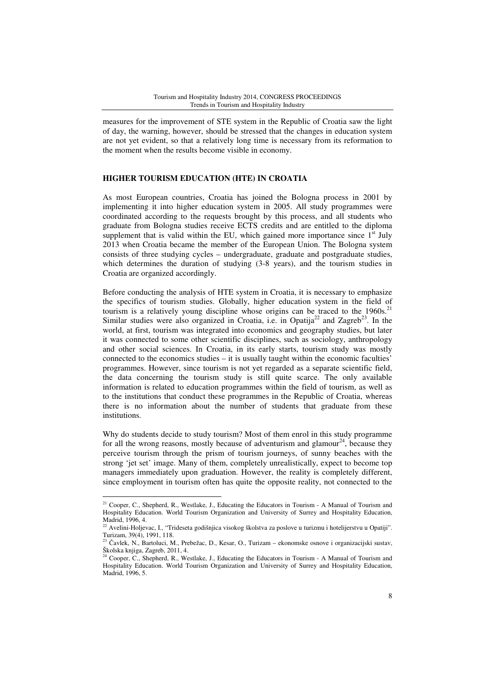measures for the improvement of STE system in the Republic of Croatia saw the light of day, the warning, however, should be stressed that the changes in education system are not yet evident, so that a relatively long time is necessary from its reformation to the moment when the results become visible in economy.

# **HIGHER TOURISM EDUCATION (HTE) IN CROATIA**

As most European countries, Croatia has joined the Bologna process in 2001 by implementing it into higher education system in 2005. All study programmes were coordinated according to the requests brought by this process, and all students who graduate from Bologna studies receive ECTS credits and are entitled to the diploma supplement that is valid within the EU, which gained more importance since  $1<sup>st</sup>$  July 2013 when Croatia became the member of the European Union. The Bologna system consists of three studying cycles – undergraduate, graduate and postgraduate studies, which determines the duration of studying (3-8 years), and the tourism studies in Croatia are organized accordingly.

Before conducting the analysis of HTE system in Croatia, it is necessary to emphasize the specifics of tourism studies. Globally, higher education system in the field of tourism is a relatively young discipline whose origins can be traced to the  $1960s$ <sup>21</sup> Similar studies were also organized in Croatia, i.e. in Opatija<sup>22</sup> and Zagreb<sup>23</sup>. In the world, at first, tourism was integrated into economics and geography studies, but later it was connected to some other scientific disciplines, such as sociology, anthropology and other social sciences. In Croatia, in its early starts, tourism study was mostly connected to the economics studies – it is usually taught within the economic faculties' programmes. However, since tourism is not yet regarded as a separate scientific field, the data concerning the tourism study is still quite scarce. The only available information is related to education programmes within the field of tourism, as well as to the institutions that conduct these programmes in the Republic of Croatia, whereas there is no information about the number of students that graduate from these institutions.

Why do students decide to study tourism? Most of them enrol in this study programme for all the wrong reasons, mostly because of adventurism and glamour<sup>24</sup>, because they perceive tourism through the prism of tourism journeys, of sunny beaches with the strong 'jet set' image. Many of them, completely unrealistically, expect to become top managers immediately upon graduation. However, the reality is completely different, since employment in tourism often has quite the opposite reality, not connected to the

<sup>&</sup>lt;sup>21</sup> Cooper, C., Shepherd, R., Westlake, J., Educating the Educators in Tourism - A Manual of Tourism and Hospitality Education. World Tourism Organization and University of Surrey and Hospitality Education, Madrid, 1996, 4.

 $22$  Avelini-Holjevac, I., "Trideseta godišnjica visokog školstva za poslove u turizmu i hotelijerstvu u Opatiji". Turizam, 39(4), 1991, 118.

<sup>23</sup> Čavlek, N., Bartoluci, M., Prebežac, D., Kesar, O., Turizam – ekonomske osnove i organizacijski sustav, Školska knjiga, Zagreb, 2011, 4.

<sup>&</sup>lt;sup>24</sup> Cooper, C., Shepherd, R., Westlake, J., Educating the Educators in Tourism - A Manual of Tourism and Hospitality Education. World Tourism Organization and University of Surrey and Hospitality Education, Madrid, 1996, 5.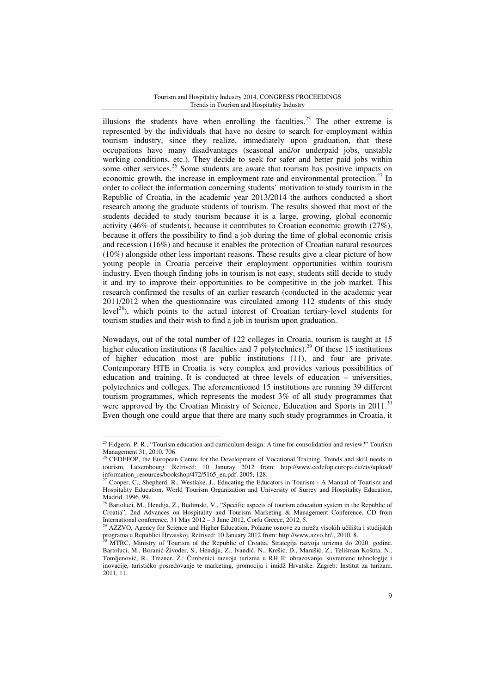illusions the students have when enrolling the faculties.<sup>25</sup> The other extreme is represented by the individuals that have no desire to search for employment within tourism industry, since they realize, immediately upon graduation, that these occupations have many disadvantages (seasonal and/or underpaid jobs, unstable working conditions, etc.). They decide to seek for safer and better paid jobs within some other services.<sup>26</sup> Some students are aware that tourism has positive impacts on economic growth, the increase in employment rate and environmental protection.<sup>27</sup> In order to collect the information concerning students' motivation to study tourism in the Republic of Croatia, in the academic year 2013/2014 the authors conducted a short research among the graduate students of tourism. The results showed that most of the students decided to study tourism because it is a large, growing, global economic activity (46% of students), because it contributes to Croatian economic growth (27%), because it offers the possibility to find a job during the time of global economic crisis and recession (16%) and because it enables the protection of Croatian natural resources (10%) alongside other less important reasons. These results give a clear picture of how young people in Croatia perceive their employment opportunities within tourism industry. Even though finding jobs in tourism is not easy, students still decide to study it and try to improve their opportunities to be competitive in the job market. This research confirmed the results of an earlier research (conducted in the academic year 2011/2012 when the questionnaire was circulated among 112 students of this study  $level<sup>28</sup>$ , which points to the actual interest of Croatian tertiary-level students for tourism studies and their wish to find a job in tourism upon graduation.

Nowadays, out of the total number of 122 colleges in Croatia, tourism is taught at 15 higher education institutions (8 faculties and 7 polytechnics).<sup>29</sup> Of these 15 institutions of higher education most are public institutions (11), and four are private. Contemporary HTE in Croatia is very complex and provides various possibilities of education and training. It is conducted at three levels of education – universities, polytechnics and colleges. The aforementioned 15 institutions are running 39 different tourism programmes, which represents the modest 3% of all study programmes that were approved by the Croatian Ministry of Science, Education and Sports in 2011.<sup>30</sup> Even though one could argue that there are many such study programmes in Croatia, it

<sup>&</sup>lt;sup>25</sup> Fidgeon, P. R., "Tourism education and curriculum design: A time for consolidation and review?" Tourism Management 31, 2010, 706.

<sup>26</sup> CEDEFOP, the European Centre for the Development of Vocational Training. Trends and skill needs in tourism, Luxembourg. Retrived: 10 Januray 2012 from: http://www.cedefop.europa.eu/etv/upload/ information\_resources/bookshop/472/5165\_en.pdf. 2005, 128.

Cooper, C., Shepherd, R., Westlake, J., Educating the Educators in Tourism - A Manual of Tourism and Hospitality Education. World Tourism Organization and University of Surrey and Hospitality Education, Madrid, 1996, 99.

<sup>&</sup>lt;sup>28</sup> Bartoluci, M., Hendija, Z., Budimski, V., "Specific aspects of tourism education system in the Republic of Croatia", 2nd Advances on Hospitality and Tourism Marketing & Management Conference. CD from International conference,  $31$  May  $2012 - 3$  June 2012, Corfu Greece, 2012, 5.

<sup>&</sup>lt;sup>29</sup> AZZVO, Agency for Science and Higher Education, Polazne osnove za mrežu visokih učilišta i studijskih programa u Republici Hrvatskoj, Retrived: 10 January 2012 from: http://www.azvo.hr/., 2010, 8.

<sup>30</sup> MTRC, Ministry of Tourism of the Republic of Croatia, Strategija razvoja turizma do 2020. godine. Bartoluci, M., Boranić-Živoder, S., Hendija, Z., Ivandić, N., Krešić, D., Marušić, Z., Telišman Košuta, N., Tomljenović, R., Trezner, Ž.: Čimbenici razvoja turizma u RH II: obrazovanje, suvremene tehnologije i inovacije, turističko posredovanje te marketing, promocija i imidž Hrvatske. Zagreb: Institut za turizam. 2011, 11.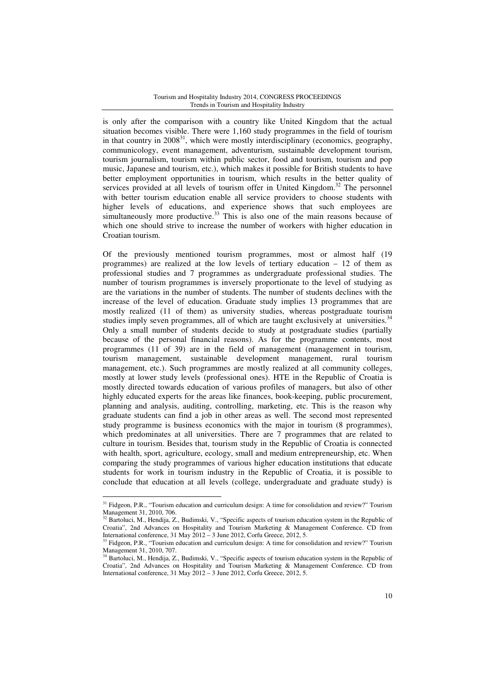is only after the comparison with a country like United Kingdom that the actual situation becomes visible. There were 1,160 study programmes in the field of tourism in that country in  $2008<sup>31</sup>$ , which were mostly interdisciplinary (economics, geography, communicology, event management, adventurism, sustainable development tourism, tourism journalism, tourism within public sector, food and tourism, tourism and pop music, Japanese and tourism, etc.), which makes it possible for British students to have better employment opportunities in tourism, which results in the better quality of services provided at all levels of tourism offer in United Kingdom.<sup>32</sup> The personnel with better tourism education enable all service providers to choose students with higher levels of educations, and experience shows that such employees are simultaneously more productive. $33$  This is also one of the main reasons because of which one should strive to increase the number of workers with higher education in Croatian tourism.

Of the previously mentioned tourism programmes, most or almost half (19 programmes) are realized at the low levels of tertiary education – 12 of them as professional studies and 7 programmes as undergraduate professional studies. The number of tourism programmes is inversely proportionate to the level of studying as are the variations in the number of students. The number of students declines with the increase of the level of education. Graduate study implies 13 programmes that are mostly realized (11 of them) as university studies, whereas postgraduate tourism studies imply seven programmes, all of which are taught exclusively at universities.<sup>34</sup> Only a small number of students decide to study at postgraduate studies (partially because of the personal financial reasons). As for the programme contents, most programmes (11 of 39) are in the field of management (management in tourism, tourism management, sustainable development management, rural tourism management, etc.). Such programmes are mostly realized at all community colleges, mostly at lower study levels (professional ones). HTE in the Republic of Croatia is mostly directed towards education of various profiles of managers, but also of other highly educated experts for the areas like finances, book-keeping, public procurement, planning and analysis, auditing, controlling, marketing, etc. This is the reason why graduate students can find a job in other areas as well. The second most represented study programme is business economics with the major in tourism (8 programmes), which predominates at all universities. There are 7 programmes that are related to culture in tourism. Besides that, tourism study in the Republic of Croatia is connected with health, sport, agriculture, ecology, small and medium entrepreneurship, etc. When comparing the study programmes of various higher education institutions that educate students for work in tourism industry in the Republic of Croatia, it is possible to conclude that education at all levels (college, undergraduate and graduate study) is

<sup>&</sup>lt;sup>31</sup> Fidgeon, P.R., "Tourism education and curriculum design: A time for consolidation and review?" Tourism Management 31, 2010, 706.

<sup>&</sup>lt;sup>32</sup> Bartoluci, M., Hendija, Z., Budimski, V., "Specific aspects of tourism education system in the Republic of Croatia", 2nd Advances on Hospitality and Tourism Marketing & Management Conference. CD from International conference, 31 May 2012 – 3 June 2012, Corfu Greece, 2012, 5.

<sup>&</sup>lt;sup>33</sup> Fidgeon, P.R., "Tourism education and curriculum design: A time for consolidation and review?" Tourism Management 31, 2010, 707.

<sup>&</sup>lt;sup>34</sup> Bartoluci, M., Hendija, Z., Budimski, V., "Specific aspects of tourism education system in the Republic of Croatia", 2nd Advances on Hospitality and Tourism Marketing & Management Conference. CD from International conference, 31 May 2012 – 3 June 2012, Corfu Greece, 2012, 5.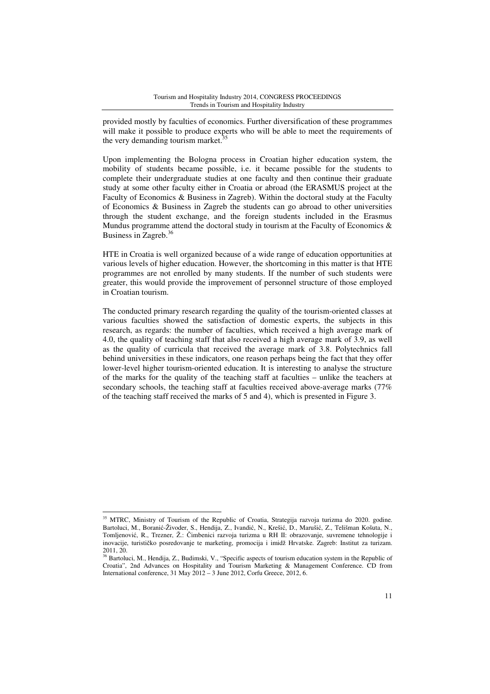provided mostly by faculties of economics. Further diversification of these programmes will make it possible to produce experts who will be able to meet the requirements of the very demanding tourism market.<sup>35</sup>

Upon implementing the Bologna process in Croatian higher education system, the mobility of students became possible, i.e. it became possible for the students to complete their undergraduate studies at one faculty and then continue their graduate study at some other faculty either in Croatia or abroad (the ERASMUS project at the Faculty of Economics & Business in Zagreb). Within the doctoral study at the Faculty of Economics & Business in Zagreb the students can go abroad to other universities through the student exchange, and the foreign students included in the Erasmus Mundus programme attend the doctoral study in tourism at the Faculty of Economics  $\&$ Business in Zagreb.<sup>36</sup>

HTE in Croatia is well organized because of a wide range of education opportunities at various levels of higher education. However, the shortcoming in this matter is that HTE programmes are not enrolled by many students. If the number of such students were greater, this would provide the improvement of personnel structure of those employed in Croatian tourism.

The conducted primary research regarding the quality of the tourism-oriented classes at various faculties showed the satisfaction of domestic experts, the subjects in this research, as regards: the number of faculties, which received a high average mark of 4.0, the quality of teaching staff that also received a high average mark of 3.9, as well as the quality of curricula that received the average mark of 3.8. Polytechnics fall behind universities in these indicators, one reason perhaps being the fact that they offer lower-level higher tourism-oriented education. It is interesting to analyse the structure of the marks for the quality of the teaching staff at faculties – unlike the teachers at secondary schools, the teaching staff at faculties received above-average marks (77% of the teaching staff received the marks of 5 and 4), which is presented in Figure 3.

<sup>35</sup> MTRC, Ministry of Tourism of the Republic of Croatia, Strategija razvoja turizma do 2020. godine. Bartoluci, M., Boranić-Živoder, S., Hendija, Z., Ivandić, N., Krešić, D., Marušić, Z., Telišman Košuta, N., Tomljenović, R., Trezner, Ž.: Čimbenici razvoja turizma u RH II: obrazovanje, suvremene tehnologije i inovacije, turističko posredovanje te marketing, promocija i imidž Hrvatske. Zagreb: Institut za turizam. 2011, 20.

<sup>&</sup>lt;sup>36</sup> Bartoluci, M., Hendija, Z., Budimski, V., "Specific aspects of tourism education system in the Republic of Croatia", 2nd Advances on Hospitality and Tourism Marketing & Management Conference. CD from International conference, 31 May 2012 – 3 June 2012, Corfu Greece, 2012, 6.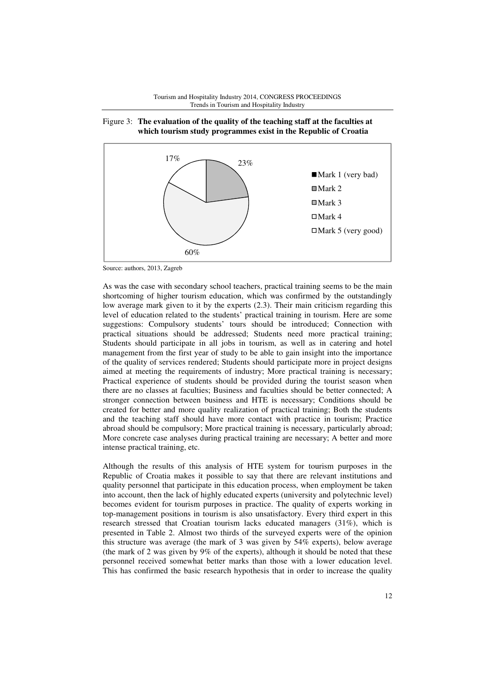



# Figure 3: **The evaluation of the quality of the teaching staff at the faculties at which tourism study programmes exist in the Republic of Croatia**

Source: authors, 2013, Zagreb

As was the case with secondary school teachers, practical training seems to be the main shortcoming of higher tourism education, which was confirmed by the outstandingly low average mark given to it by the experts (2.3). Their main criticism regarding this level of education related to the students' practical training in tourism. Here are some suggestions: Compulsory students' tours should be introduced; Connection with practical situations should be addressed; Students need more practical training; Students should participate in all jobs in tourism, as well as in catering and hotel management from the first year of study to be able to gain insight into the importance of the quality of services rendered; Students should participate more in project designs aimed at meeting the requirements of industry; More practical training is necessary; Practical experience of students should be provided during the tourist season when there are no classes at faculties; Business and faculties should be better connected; A stronger connection between business and HTE is necessary; Conditions should be created for better and more quality realization of practical training; Both the students and the teaching staff should have more contact with practice in tourism; Practice abroad should be compulsory; More practical training is necessary, particularly abroad; More concrete case analyses during practical training are necessary; A better and more intense practical training, etc.

Although the results of this analysis of HTE system for tourism purposes in the Republic of Croatia makes it possible to say that there are relevant institutions and quality personnel that participate in this education process, when employment be taken into account, then the lack of highly educated experts (university and polytechnic level) becomes evident for tourism purposes in practice. The quality of experts working in top-management positions in tourism is also unsatisfactory. Every third expert in this research stressed that Croatian tourism lacks educated managers (31%), which is presented in Table 2. Almost two thirds of the surveyed experts were of the opinion this structure was average (the mark of 3 was given by 54% experts), below average (the mark of 2 was given by 9% of the experts), although it should be noted that these personnel received somewhat better marks than those with a lower education level. This has confirmed the basic research hypothesis that in order to increase the quality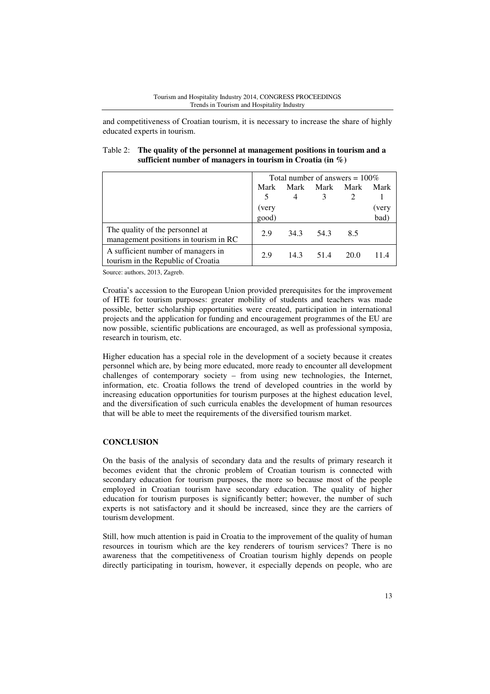and competitiveness of Croatian tourism, it is necessary to increase the share of highly educated experts in tourism.

| Table 2: The quality of the personnel at management positions in tourism and a |
|--------------------------------------------------------------------------------|
| sufficient number of managers in tourism in Croatia (in $\%$ )                 |

|                                                                          | Total number of answers $= 100\%$ |      |      |      |       |
|--------------------------------------------------------------------------|-----------------------------------|------|------|------|-------|
|                                                                          | Mark                              | Mark | Mark | Mark | Mark  |
|                                                                          | 5                                 | 4    |      |      |       |
|                                                                          | (very                             |      |      |      | (very |
|                                                                          | good)                             |      |      |      | bad)  |
| The quality of the personnel at<br>management positions in tourism in RC | 2.9                               | 34.3 | 54.3 | 8.5  |       |
| A sufficient number of managers in<br>tourism in the Republic of Croatia | 2.9                               | 14.3 | 51.4 | 20.0 |       |

Source: authors, 2013, Zagreb.

Croatia's accession to the European Union provided prerequisites for the improvement of HTE for tourism purposes: greater mobility of students and teachers was made possible, better scholarship opportunities were created, participation in international projects and the application for funding and encouragement programmes of the EU are now possible, scientific publications are encouraged, as well as professional symposia, research in tourism, etc.

Higher education has a special role in the development of a society because it creates personnel which are, by being more educated, more ready to encounter all development challenges of contemporary society – from using new technologies, the Internet, information, etc. Croatia follows the trend of developed countries in the world by increasing education opportunities for tourism purposes at the highest education level, and the diversification of such curricula enables the development of human resources that will be able to meet the requirements of the diversified tourism market.

# **CONCLUSION**

On the basis of the analysis of secondary data and the results of primary research it becomes evident that the chronic problem of Croatian tourism is connected with secondary education for tourism purposes, the more so because most of the people employed in Croatian tourism have secondary education. The quality of higher education for tourism purposes is significantly better; however, the number of such experts is not satisfactory and it should be increased, since they are the carriers of tourism development.

Still, how much attention is paid in Croatia to the improvement of the quality of human resources in tourism which are the key renderers of tourism services? There is no awareness that the competitiveness of Croatian tourism highly depends on people directly participating in tourism, however, it especially depends on people, who are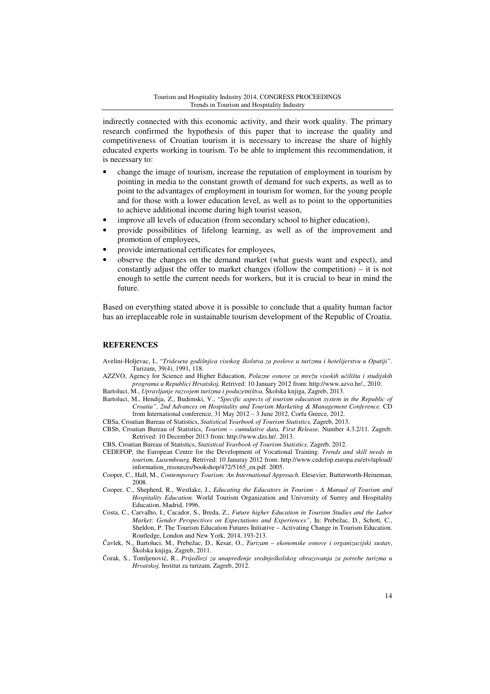indirectly connected with this economic activity, and their work quality. The primary research confirmed the hypothesis of this paper that to increase the quality and competitiveness of Croatian tourism it is necessary to increase the share of highly educated experts working in tourism. To be able to implement this recommendation, it is necessary to:

- change the image of tourism, increase the reputation of employment in tourism by pointing in media to the constant growth of demand for such experts, as well as to point to the advantages of employment in tourism for women, for the young people and for those with a lower education level, as well as to point to the opportunities to achieve additional income during high tourist season,
- improve all levels of education (from secondary school to higher education),
- provide possibilities of lifelong learning, as well as of the improvement and promotion of employees,
- provide international certificates for employees,
- observe the changes on the demand market (what guests want and expect), and constantly adjust the offer to market changes (follow the competition) – it is not enough to settle the current needs for workers, but it is crucial to bear in mind the future.

Based on everything stated above it is possible to conclude that a quality human factor has an irreplaceable role in sustainable tourism development of the Republic of Croatia.

### **REFERENCES**

- Avelini-Holjevac, I., "*Trideseta godišnjica visokog školstva za poslove u turizmu i hotelijerstvu u Opatiji".*  Turizam, 39(4), 1991, 118.
- AZZVO, Agency for Science and Higher Education, *Polazne osnove za mrežu visokih u*č*ilišta i studijskih programa u Republici Hrvatskoj,* Retrived: 10 January 2012 from: http://www.azvo.hr/., 2010. Bartoluci, M., *Upravljanje razvojem turizma i poduzetništva,* Školska knjiga, Zagreb, 2013.
- Bartoluci, M., Hendija, Z., Budimski, V., "*Specific aspects of tourism education system in the Republic of Croatia", 2nd Advances on Hospitality and Tourism Marketing & Management Conference.* CD
	- from International conference, 31 May 2012 3 June 2012, Corfu Greece, 2012.
- CBSa, Croatian Bureau of Statistics, *Statistical Yearbook of Tourism Statistics,* Zagreb, 2013.
- CBSb, Croatian Bureau of Statistics, *Tourism cumulative data, First Release,* Number 4.3.2/11. Zagreb. Retrived: 10 December 2013 from: http://www.dzs.hr/. 2013.
- CBS, Croatian Bureau of Statistics, *Statistical Yearbook of Tourism Statistics,* Zagreb, 2012.
- CEDEFOP, the European Centre for the Development of Vocational Training. *Trends and skill needs in tourism, Luxembourg.* Retrived: 10 Januray 2012 from: http://www.cedefop.europa.eu/etv/upload/ information\_resources/bookshop/472/5165\_en.pdf. 2005.
- Cooper, C., Hall, M., *Contemporary Tourism: An International Approach.* Elesevier, Butterworth-Heineman, 2008.
- Cooper, C., Shepherd, R., Westlake, J., *Educating the Educators in Tourism A Manual of Tourism and Hospitality Education.* World Tourism Organization and University of Surrey and Hospitality Education, Madrid, 1996.
- Costa, C., Carvalho, I., Cacador, S., Breda, Z., *Future higher Education in Tourism Studies and the Labor Market: Gender Perspectives on Expectations and Experiences"*, In: Prebežac, D., Schott, C., Sheldon, P. The Tourism Education Futures Initiative – Activating Change in Tourism Education. Routledge, London and New York, 2014, 193-213.
- Čavlek, N., Bartoluci, M., Prebežac, D., Kesar, O., *Turizam ekonomske osnove i organizacijski susta*v, Školska knjiga, Zagreb, 2011.
- Čorak, S., Tomljenović, R., *Prijedlozi za unapre*đ*enje srednjoškolskog obrazovanja za potrebe turizma u Hrvatskoj,* Institut za turizam, Zagreb, 2012.